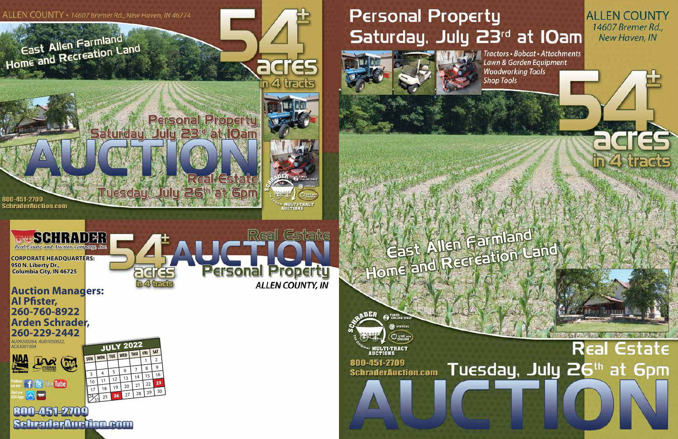

Tractors · Bobcat · Attachments Lawn & Garden Equipment **Woodworking Tools Shop Tools** 

**ALLEN COUNTY** 14607 Bremer Rd., New Haven, IN

 $\blacksquare$ 

# Real Estate Tuesday, July 26th at 6pm